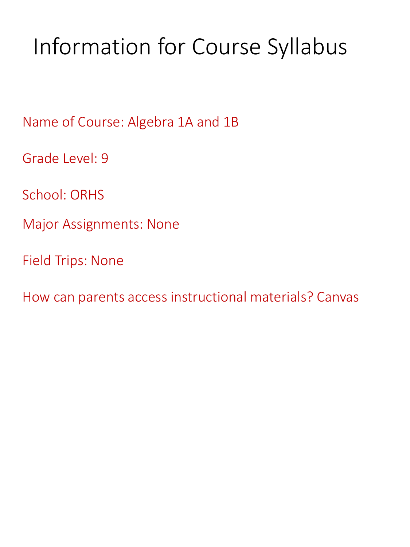# Information for Course Syllabus

Name of Course: Algebra 1A and 1B

Grade Level: 9

School: ORHS

Major Assignments: None

Field Trips: None

How can parents access instructional materials? Canvas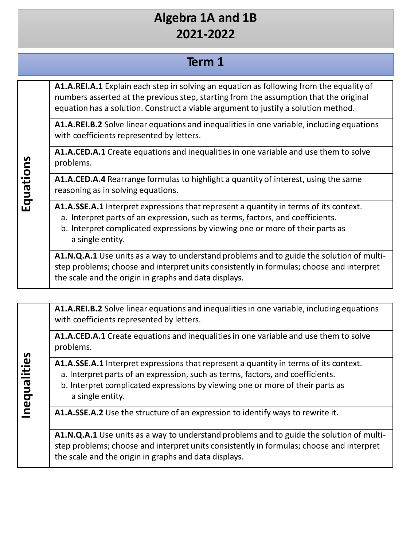#### **Term 1**

**A1.A.REI.A.1** Explain each step in solving an equation as following from the equality of numbers asserted at the previous step, starting from the assumption that the original equation has a solution. Construct a viable argument to justify a solution method.

**A1.A.REI.B.2** Solve linear equations and inequalitiesin one variable, including equations with coefficients represented by letters.

**A1.A.CED.A.1** Create equations and inequalitiesin one variable and use them to solve problems.

**A1.A.CED.A.4** Rearrange formulas to highlight a quantity of interest, using the same reasoning as in solving equations.

**A1.A.SSE.A.1** Interpret expressions that represent a quantity in terms of its context.

- a. Interpret parts of an expression, such as terms, factors, and coefficients.
- b. Interpret complicated expressions by viewing one or more of their parts as a single entity.

**A1.N.Q.A.1** Use units as a way to understand problems and to guide the solution of multistep problems; choose and interpret units consistently in formulas; choose and interpret the scale and the origin in graphs and data displays.

**A1.A.REI.B.2** Solve linear equations and inequalitiesin one variable, including equations with coefficients represented by letters.

**A1.A.CED.A.1** Create equations and inequalitiesin one variable and use them to solve problems.

**A1.A.SSE.A.1** Interpret expressions that represent a quantity in terms of its context.

- a. Interpret parts of an expression, such as terms, factors, and coefficients.
- b. Interpret complicated expressions by viewing one or more of their parts as a single entity.

**A1.A.SSE.A.2** Use the structure of an expression to identify ways to rewrite it.

**A1.N.Q.A.1** Use units as a way to understand problems and to guide the solution of multistep problems; choose and interpret units consistently in formulas; choose and interpret the scale and the origin in graphs and data displays.

**E q u ati ons**

**In**

**equ**

**aliti e s**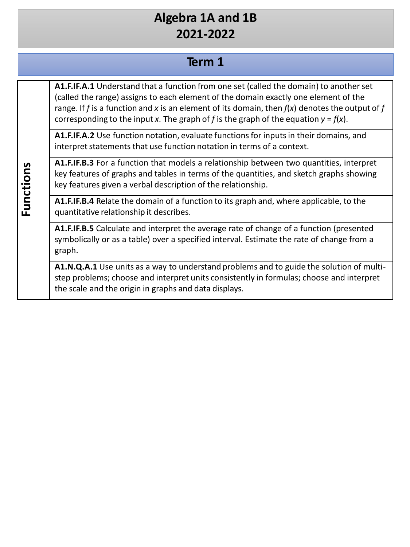#### **Term 1**

**A1.F.IF.A.1** Understand that a function from one set (called the domain) to anotherset (called the range) assigns to each element of the domain exactly one element of the range. If *f* is a function and *x* is an element of its domain, then *f*(*x*) denotesthe output of *f*  corresponding to the input *x*. The graph of *f* is the graph of the equation *y* = *f*(*x*).

A1.F.IF.A.2 Use function notation, evaluate functions for inputs in their domains, and interpret statements that use function notation in terms of a context.

**A1.F.IF.B.3** For a function that models a relationship between two quantities, interpret key features of graphs and tables in terms of the quantities, and sketch graphs showing key features given a verbal description of the relationship.

**A1.F.IF.B.4** Relate the domain of a function to its graph and, where applicable, to the quantitative relationship it describes.

**A1.F.IF.B.5** Calculate and interpret the average rate of change of a function (presented symbolically or as a table) over a specified interval. Estimate the rate of change from a graph.

**A1.N.Q.A.1** Use units as a way to understand problems and to guide the solution of multistep problems; choose and interpret units consistently in formulas; choose and interpret the scale and the origin in graphs and data displays.

**Fu nctions**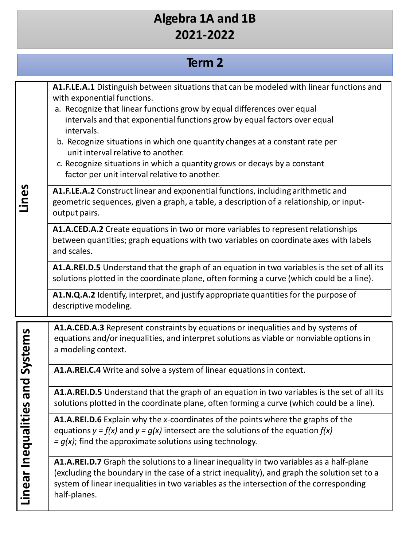# **Term 2**

| Lines                              | A1.F.LE.A.1 Distinguish between situations that can be modeled with linear functions and<br>with exponential functions.<br>a. Recognize that linear functions grow by equal differences over equal<br>intervals and that exponential functions grow by equal factors over equal<br>intervals.<br>b. Recognize situations in which one quantity changes at a constant rate per<br>unit interval relative to another.<br>c. Recognize situations in which a quantity grows or decays by a constant<br>factor per unit interval relative to another. |
|------------------------------------|---------------------------------------------------------------------------------------------------------------------------------------------------------------------------------------------------------------------------------------------------------------------------------------------------------------------------------------------------------------------------------------------------------------------------------------------------------------------------------------------------------------------------------------------------|
|                                    | A1.F.LE.A.2 Construct linear and exponential functions, including arithmetic and<br>geometric sequences, given a graph, a table, a description of a relationship, or input-<br>output pairs.                                                                                                                                                                                                                                                                                                                                                      |
|                                    | A1.A.CED.A.2 Create equations in two or more variables to represent relationships<br>between quantities; graph equations with two variables on coordinate axes with labels<br>and scales.                                                                                                                                                                                                                                                                                                                                                         |
|                                    | A1.A.REI.D.5 Understand that the graph of an equation in two variables is the set of all its<br>solutions plotted in the coordinate plane, often forming a curve (which could be a line).                                                                                                                                                                                                                                                                                                                                                         |
|                                    | A1.N.Q.A.2 Identify, interpret, and justify appropriate quantities for the purpose of<br>descriptive modeling.                                                                                                                                                                                                                                                                                                                                                                                                                                    |
| es and Systems<br>Linear Inequalit | A1.A.CED.A.3 Represent constraints by equations or inequalities and by systems of<br>equations and/or inequalities, and interpret solutions as viable or nonviable options in<br>a modeling context.                                                                                                                                                                                                                                                                                                                                              |
|                                    | A1.A.REI.C.4 Write and solve a system of linear equations in context.                                                                                                                                                                                                                                                                                                                                                                                                                                                                             |
|                                    | A1.A.REI.D.5 Understand that the graph of an equation in two variables is the set of all its<br>solutions plotted in the coordinate plane, often forming a curve (which could be a line).                                                                                                                                                                                                                                                                                                                                                         |
|                                    | A1.A.REI.D.6 Explain why the x-coordinates of the points where the graphs of the<br>equations $y = f(x)$ and $y = g(x)$ intersect are the solutions of the equation $f(x)$<br>$= g(x)$ ; find the approximate solutions using technology.                                                                                                                                                                                                                                                                                                         |
|                                    | A1.A.REI.D.7 Graph the solutions to a linear inequality in two variables as a half-plane<br>(excluding the boundary in the case of a strict inequality), and graph the solution set to a<br>system of linear inequalities in two variables as the intersection of the corresponding<br>half-planes.                                                                                                                                                                                                                                               |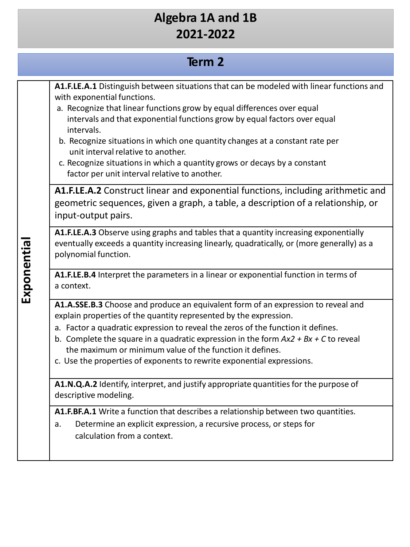#### **Term 2**

**A1.F.LE.A.1** Distinguish between situationsthat can be modeled with linear functions and with exponential functions.

- a. Recognize that linear functions grow by equal differences over equal intervals and that exponential functions grow by equal factors over equal intervals.
- b. Recognize situations in which one quantity changes at a constant rate per unit interval relative to another.
- c. Recognize situations in which a quantity grows or decays by a constant factor per unit interval relative to another.

**A1.F.LE.A.2** Construct linear and exponential functions, including arithmetic and geometric sequences, given a graph, a table, a description of a relationship, or input-output pairs.

**A1.F.LE.A.3** Observe using graphs and tables that a quantity increasing exponentially eventually exceeds a quantity increasing linearly, quadratically, or (more generally) as a polynomial function.

**A1.F.LE.B.4** Interpret the parameters in a linear or exponential function in terms of a context.

**A1.A.SSE.B.3** Choose and produce an equivalent form of an expression to reveal and explain properties of the quantity represented by the expression.

- a. Factor a quadratic expression to reveal the zeros of the function it defines.
- b. Complete the square in a quadratic expression in the form  $Ax2 + Bx + C$  to reveal the maximum or minimum value of the function it defines.
- c. Use the properties of exponents to rewrite exponential expressions.

**A1.N.Q.A.2** Identify, interpret, and justify appropriate quantitiesfor the purpose of descriptive modeling.

**A1.F.BF.A.1** Write a function that describes a relationship between two quantities.

a. Determine an explicit expression, a recursive process, or steps for calculation from a context.

**Expo n e ntial**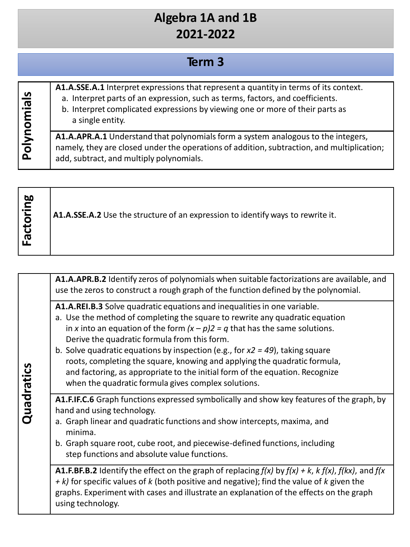# **Term 3**

| cleim<br>Polynor | A1.A.SSE.A.1 Interpret expressions that represent a quantity in terms of its context.<br>a. Interpret parts of an expression, such as terms, factors, and coefficients.<br>b. Interpret complicated expressions by viewing one or more of their parts as<br>a single entity. |
|------------------|------------------------------------------------------------------------------------------------------------------------------------------------------------------------------------------------------------------------------------------------------------------------------|
|                  | A1.A.APR.A.1 Understand that polynomials form a system analogous to the integers,<br>namely, they are closed under the operations of addition, subtraction, and multiplication;<br>add, subtract, and multiply polynomials.                                                  |

| toring<br>$\bar{\sigma}$ | A1.A.SSE.A.2 Use the structure of an expression to identify ways to rewrite it. |
|--------------------------|---------------------------------------------------------------------------------|
|--------------------------|---------------------------------------------------------------------------------|

| Quadratics | A1.A.APR.B.2 Identify zeros of polynomials when suitable factorizations are available, and<br>use the zeros to construct a rough graph of the function defined by the polynomial.                                                                                                                                                                                                                                                                                                                                                                                                                                                                                                                                                                                                                                                                                                                                                                                                                                                                                              |
|------------|--------------------------------------------------------------------------------------------------------------------------------------------------------------------------------------------------------------------------------------------------------------------------------------------------------------------------------------------------------------------------------------------------------------------------------------------------------------------------------------------------------------------------------------------------------------------------------------------------------------------------------------------------------------------------------------------------------------------------------------------------------------------------------------------------------------------------------------------------------------------------------------------------------------------------------------------------------------------------------------------------------------------------------------------------------------------------------|
|            | A1.A.REI.B.3 Solve quadratic equations and inequalities in one variable.<br>a. Use the method of completing the square to rewrite any quadratic equation<br>in x into an equation of the form $(x - p)2 = q$ that has the same solutions.<br>Derive the quadratic formula from this form.<br>b. Solve quadratic equations by inspection (e.g., for $x^2 = 49$ ), taking square<br>roots, completing the square, knowing and applying the quadratic formula,<br>and factoring, as appropriate to the initial form of the equation. Recognize<br>when the quadratic formula gives complex solutions.<br>A1.F.IF.C.6 Graph functions expressed symbolically and show key features of the graph, by<br>hand and using technology.<br>a. Graph linear and quadratic functions and show intercepts, maxima, and<br>minima.<br>b. Graph square root, cube root, and piecewise-defined functions, including<br>step functions and absolute value functions.<br><b>A1.F.BF.B.2</b> Identify the effect on the graph of replacing $f(x)$ by $f(x) + k$ , $k f(x)$ , $f(kx)$ , and $f(x)$ |
|            | $+ k$ ) for specific values of k (both positive and negative); find the value of k given the<br>graphs. Experiment with cases and illustrate an explanation of the effects on the graph<br>using technology.                                                                                                                                                                                                                                                                                                                                                                                                                                                                                                                                                                                                                                                                                                                                                                                                                                                                   |